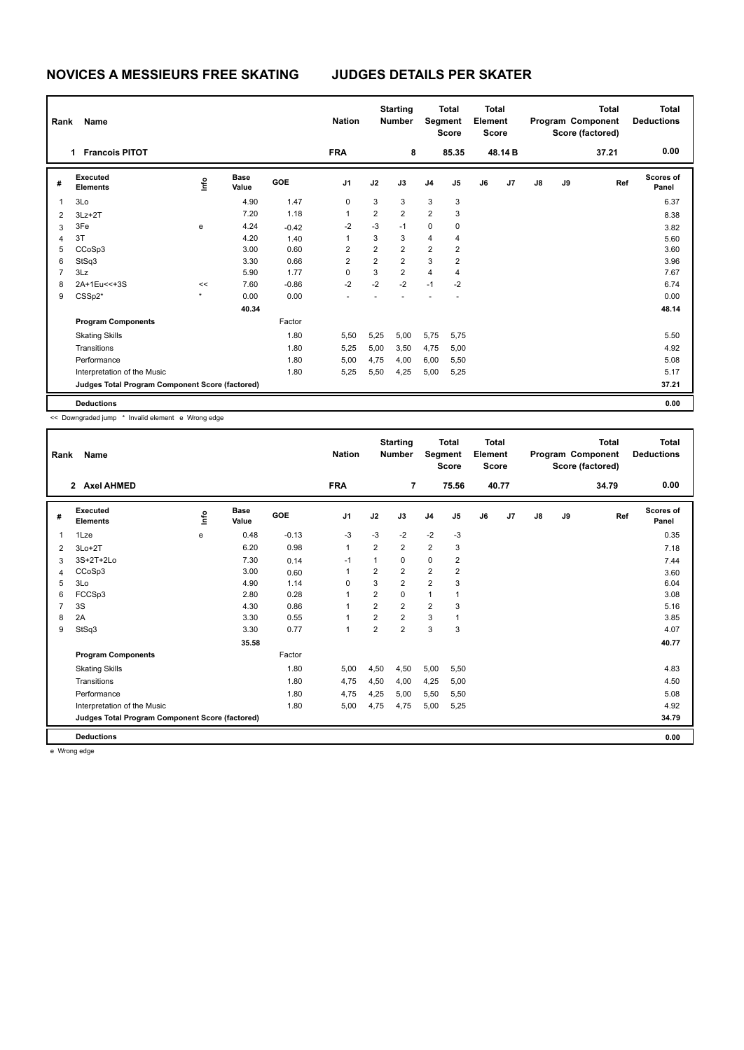| Rank | Name                                            |      |                      |            | <b>Nation</b>  | <b>Starting</b><br><b>Number</b> |                |                         | <b>Total</b><br>Segment<br><b>Score</b> |    | <b>Total</b><br>Element<br>Score |               |    | <b>Total</b><br>Program Component<br>Score (factored) | <b>Total</b><br><b>Deductions</b> |
|------|-------------------------------------------------|------|----------------------|------------|----------------|----------------------------------|----------------|-------------------------|-----------------------------------------|----|----------------------------------|---------------|----|-------------------------------------------------------|-----------------------------------|
|      | <b>Francois PITOT</b>                           |      |                      |            | <b>FRA</b>     |                                  | 8              |                         | 85.35                                   |    | 48.14B                           |               |    | 37.21                                                 | 0.00                              |
| #    | Executed<br><b>Elements</b>                     | lnfo | <b>Base</b><br>Value | <b>GOE</b> | J <sub>1</sub> | J2                               | J3             | J <sub>4</sub>          | J5                                      | J6 | J <sub>7</sub>                   | $\mathsf{J}8$ | J9 | Ref                                                   | <b>Scores of</b><br>Panel         |
| 1    | 3Lo                                             |      | 4.90                 | 1.47       | 0              | 3                                | 3              | 3                       | 3                                       |    |                                  |               |    |                                                       | 6.37                              |
| 2    | $3Lz + 2T$                                      |      | 7.20                 | 1.18       | 1              | $\overline{2}$                   | $\overline{2}$ | $\overline{2}$          | 3                                       |    |                                  |               |    |                                                       | 8.38                              |
| 3    | 3Fe                                             | e    | 4.24                 | $-0.42$    | $-2$           | $-3$                             | $-1$           | 0                       | 0                                       |    |                                  |               |    |                                                       | 3.82                              |
| 4    | 3T                                              |      | 4.20                 | 1.40       |                | 3                                | 3              | $\overline{\mathbf{4}}$ | 4                                       |    |                                  |               |    |                                                       | 5.60                              |
| 5    | CCoSp3                                          |      | 3.00                 | 0.60       | 2              | $\overline{2}$                   | $\overline{2}$ | $\overline{2}$          | $\overline{\mathbf{c}}$                 |    |                                  |               |    |                                                       | 3.60                              |
| 6    | StSq3                                           |      | 3.30                 | 0.66       | $\overline{2}$ | $\overline{2}$                   | $\overline{2}$ | 3                       | $\overline{2}$                          |    |                                  |               |    |                                                       | 3.96                              |
| 7    | 3Lz                                             |      | 5.90                 | 1.77       | 0              | 3                                | $\overline{2}$ | $\overline{4}$          | 4                                       |    |                                  |               |    |                                                       | 7.67                              |
| 8    | 2A+1Eu<<+3S                                     | <<   | 7.60                 | $-0.86$    | $-2$           | $-2$                             | $-2$           | $-1$                    | $-2$                                    |    |                                  |               |    |                                                       | 6.74                              |
| 9    | $CSSp2*$                                        |      | 0.00                 | 0.00       |                |                                  |                |                         |                                         |    |                                  |               |    |                                                       | 0.00                              |
|      |                                                 |      | 40.34                |            |                |                                  |                |                         |                                         |    |                                  |               |    |                                                       | 48.14                             |
|      | <b>Program Components</b>                       |      |                      | Factor     |                |                                  |                |                         |                                         |    |                                  |               |    |                                                       |                                   |
|      | <b>Skating Skills</b>                           |      |                      | 1.80       | 5,50           | 5,25                             | 5,00           | 5,75                    | 5,75                                    |    |                                  |               |    |                                                       | 5.50                              |
|      | Transitions                                     |      |                      | 1.80       | 5,25           | 5,00                             | 3,50           | 4,75                    | 5,00                                    |    |                                  |               |    |                                                       | 4.92                              |
|      | Performance                                     |      |                      | 1.80       | 5,00           | 4,75                             | 4,00           | 6,00                    | 5,50                                    |    |                                  |               |    |                                                       | 5.08                              |
|      | Interpretation of the Music                     |      |                      | 1.80       | 5,25           | 5,50                             | 4,25           | 5,00                    | 5,25                                    |    |                                  |               |    |                                                       | 5.17                              |
|      | Judges Total Program Component Score (factored) |      |                      |            |                |                                  |                |                         |                                         |    |                                  |               |    |                                                       | 37.21                             |
|      | <b>Deductions</b>                               |      |                      |            |                |                                  |                |                         |                                         |    |                                  |               |    |                                                       | 0.00                              |

<< Downgraded jump \* Invalid element e Wrong edge

| Rank | Name                                            |       |                      |            | <b>Nation</b>  |                | <b>Starting</b><br><b>Number</b> | Segment        | <b>Total</b><br><b>Score</b> | Total<br>Element<br><b>Score</b> |       |               |    | <b>Total</b><br>Program Component<br>Score (factored) | Total<br><b>Deductions</b> |
|------|-------------------------------------------------|-------|----------------------|------------|----------------|----------------|----------------------------------|----------------|------------------------------|----------------------------------|-------|---------------|----|-------------------------------------------------------|----------------------------|
|      | <b>Axel AHMED</b><br>$\overline{2}$             |       |                      |            | <b>FRA</b>     |                | $\overline{7}$                   |                | 75.56                        |                                  | 40.77 |               |    | 34.79                                                 | 0.00                       |
| #    | Executed<br><b>Elements</b>                     | Linfo | <b>Base</b><br>Value | <b>GOE</b> | J <sub>1</sub> | J2             | J3                               | J <sub>4</sub> | J5                           | J6                               | J7    | $\mathsf{J}8$ | J9 | Ref                                                   | <b>Scores of</b><br>Panel  |
| 1    | 1Lze                                            | e     | 0.48                 | $-0.13$    | $-3$           | $-3$           | $-2$                             | $-2$           | $-3$                         |                                  |       |               |    |                                                       | 0.35                       |
| 2    | $3Lo+2T$                                        |       | 6.20                 | 0.98       | $\mathbf{1}$   | 2              | $\overline{2}$                   | $\overline{2}$ | 3                            |                                  |       |               |    |                                                       | 7.18                       |
| 3    | 3S+2T+2Lo                                       |       | 7.30                 | 0.14       | $-1$           | 1              | 0                                | $\mathbf 0$    | 2                            |                                  |       |               |    |                                                       | 7.44                       |
| 4    | CCoSp3                                          |       | 3.00                 | 0.60       | 1              | 2              | $\overline{2}$                   | $\overline{2}$ | 2                            |                                  |       |               |    |                                                       | 3.60                       |
| 5    | 3Lo                                             |       | 4.90                 | 1.14       | 0              | 3              | $\overline{2}$                   | $\overline{2}$ | 3                            |                                  |       |               |    |                                                       | 6.04                       |
| 6    | FCCSp3                                          |       | 2.80                 | 0.28       | 1              | $\overline{2}$ | $\Omega$                         | $\mathbf{1}$   | 1                            |                                  |       |               |    |                                                       | 3.08                       |
| 7    | 3S                                              |       | 4.30                 | 0.86       | 1              | $\overline{2}$ | $\overline{2}$                   | $\overline{2}$ | 3                            |                                  |       |               |    |                                                       | 5.16                       |
| 8    | 2A                                              |       | 3.30                 | 0.55       | $\mathbf{1}$   | $\overline{2}$ | $\overline{2}$                   | 3              | 1                            |                                  |       |               |    |                                                       | 3.85                       |
| 9    | StSq3                                           |       | 3.30                 | 0.77       | $\mathbf{1}$   | $\overline{2}$ | 2                                | 3              | 3                            |                                  |       |               |    |                                                       | 4.07                       |
|      |                                                 |       | 35.58                |            |                |                |                                  |                |                              |                                  |       |               |    |                                                       | 40.77                      |
|      | <b>Program Components</b>                       |       |                      | Factor     |                |                |                                  |                |                              |                                  |       |               |    |                                                       |                            |
|      | <b>Skating Skills</b>                           |       |                      | 1.80       | 5,00           | 4,50           | 4,50                             | 5,00           | 5,50                         |                                  |       |               |    |                                                       | 4.83                       |
|      | Transitions                                     |       |                      | 1.80       | 4,75           | 4,50           | 4,00                             | 4,25           | 5,00                         |                                  |       |               |    |                                                       | 4.50                       |
|      | Performance                                     |       |                      | 1.80       | 4,75           | 4,25           | 5,00                             | 5,50           | 5,50                         |                                  |       |               |    |                                                       | 5.08                       |
|      | Interpretation of the Music                     |       |                      | 1.80       | 5,00           | 4,75           | 4,75                             | 5,00           | 5,25                         |                                  |       |               |    |                                                       | 4.92                       |
|      | Judges Total Program Component Score (factored) |       |                      |            |                |                |                                  |                |                              |                                  |       |               |    |                                                       | 34.79                      |
|      | <b>Deductions</b>                               |       |                      |            |                |                |                                  |                |                              |                                  |       |               |    |                                                       | 0.00                       |

e Wrong edge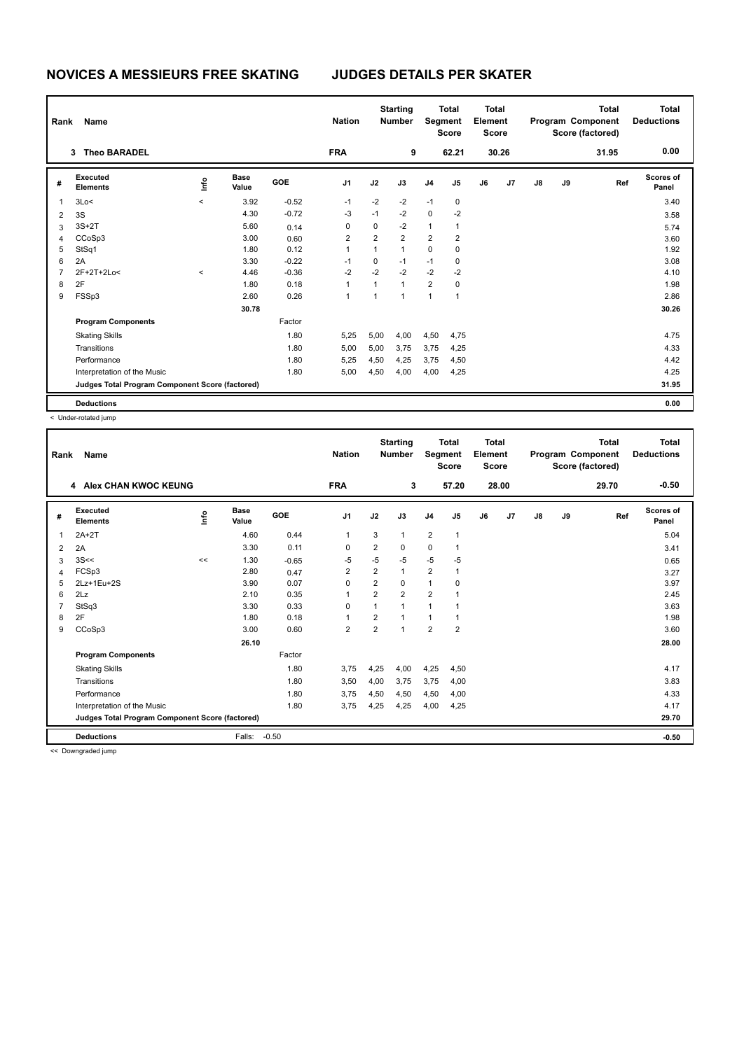| Rank | Name                                            |           |                      |         | <b>Nation</b>  | <b>Starting</b><br><b>Number</b><br>Segment |                |                | <b>Total</b><br><b>Total</b><br>Element<br><b>Score</b><br><b>Score</b> |    |       |               |    | <b>Total</b><br>Program Component<br>Score (factored) | <b>Total</b><br><b>Deductions</b> |
|------|-------------------------------------------------|-----------|----------------------|---------|----------------|---------------------------------------------|----------------|----------------|-------------------------------------------------------------------------|----|-------|---------------|----|-------------------------------------------------------|-----------------------------------|
|      | <b>Theo BARADEL</b><br>3                        |           |                      |         | <b>FRA</b>     |                                             | 9              |                | 62.21                                                                   |    | 30.26 |               |    | 31.95                                                 | 0.00                              |
| #    | Executed<br><b>Elements</b>                     | lnfo      | <b>Base</b><br>Value | GOE     | J <sub>1</sub> | J2                                          | J3             | J <sub>4</sub> | J5                                                                      | J6 | J7    | $\mathsf{J}8$ | J9 | Ref                                                   | <b>Scores of</b><br>Panel         |
| 1    | 3Lo<                                            | $\hat{~}$ | 3.92                 | $-0.52$ | $-1$           | $-2$                                        | $-2$           | $-1$           | $\mathbf 0$                                                             |    |       |               |    |                                                       | 3.40                              |
| 2    | 3S                                              |           | 4.30                 | $-0.72$ | $-3$           | $-1$                                        | $-2$           | $\mathbf 0$    | $-2$                                                                    |    |       |               |    |                                                       | 3.58                              |
| 3    | $3S+2T$                                         |           | 5.60                 | 0.14    | 0              | 0                                           | $-2$           | $\mathbf{1}$   | 1                                                                       |    |       |               |    |                                                       | 5.74                              |
| 4    | CCoSp3                                          |           | 3.00                 | 0.60    | 2              | $\overline{2}$                              | $\overline{2}$ | $\overline{2}$ | $\overline{2}$                                                          |    |       |               |    |                                                       | 3.60                              |
| 5    | StSq1                                           |           | 1.80                 | 0.12    | 1              | 1                                           | $\mathbf{1}$   | 0              | 0                                                                       |    |       |               |    |                                                       | 1.92                              |
| 6    | 2A                                              |           | 3.30                 | $-0.22$ | $-1$           | 0                                           | $-1$           | $-1$           | 0                                                                       |    |       |               |    |                                                       | 3.08                              |
| 7    | 2F+2T+2Lo<                                      | $\hat{~}$ | 4.46                 | $-0.36$ | $-2$           | $-2$                                        | $-2$           | $-2$           | $-2$                                                                    |    |       |               |    |                                                       | 4.10                              |
| 8    | 2F                                              |           | 1.80                 | 0.18    |                | 1                                           | $\overline{1}$ | $\overline{2}$ | 0                                                                       |    |       |               |    |                                                       | 1.98                              |
| 9    | FSSp3                                           |           | 2.60                 | 0.26    | 1              | 1                                           | 1              | $\mathbf{1}$   | $\mathbf{1}$                                                            |    |       |               |    |                                                       | 2.86                              |
|      |                                                 |           | 30.78                |         |                |                                             |                |                |                                                                         |    |       |               |    |                                                       | 30.26                             |
|      | <b>Program Components</b>                       |           |                      | Factor  |                |                                             |                |                |                                                                         |    |       |               |    |                                                       |                                   |
|      | <b>Skating Skills</b>                           |           |                      | 1.80    | 5,25           | 5,00                                        | 4,00           | 4,50           | 4,75                                                                    |    |       |               |    |                                                       | 4.75                              |
|      | Transitions                                     |           |                      | 1.80    | 5,00           | 5,00                                        | 3,75           | 3,75           | 4,25                                                                    |    |       |               |    |                                                       | 4.33                              |
|      | Performance                                     |           |                      | 1.80    | 5,25           | 4,50                                        | 4,25           | 3,75           | 4,50                                                                    |    |       |               |    |                                                       | 4.42                              |
|      | Interpretation of the Music                     |           |                      | 1.80    | 5,00           | 4,50                                        | 4,00           | 4,00           | 4,25                                                                    |    |       |               |    |                                                       | 4.25                              |
|      | Judges Total Program Component Score (factored) |           |                      |         |                |                                             |                |                |                                                                         |    |       |               |    |                                                       | 31.95                             |
|      | <b>Deductions</b>                               |           |                      |         |                |                                             |                |                |                                                                         |    |       |               |    |                                                       | 0.00                              |

< Under-rotated jump

| Rank | Name                                            |       |                      |         | <b>Nation</b>  |                         | <b>Starting</b><br><b>Number</b> | Segment        | <b>Total</b><br><b>Score</b> | <b>Total</b><br>Element<br><b>Score</b> |       |               |    | <b>Total</b><br>Program Component<br>Score (factored) | <b>Total</b><br><b>Deductions</b> |
|------|-------------------------------------------------|-------|----------------------|---------|----------------|-------------------------|----------------------------------|----------------|------------------------------|-----------------------------------------|-------|---------------|----|-------------------------------------------------------|-----------------------------------|
|      | 4 Alex CHAN KWOC KEUNG                          |       |                      |         | <b>FRA</b>     |                         | 3                                |                | 57.20                        |                                         | 28.00 |               |    | 29.70                                                 | $-0.50$                           |
| #    | Executed<br><b>Elements</b>                     | Linfo | <b>Base</b><br>Value | GOE     | J <sub>1</sub> | J2                      | J3                               | J <sub>4</sub> | J5                           | J6                                      | J7    | $\mathsf{J}8$ | J9 | Ref                                                   | <b>Scores of</b><br>Panel         |
| 1    | $2A+2T$                                         |       | 4.60                 | 0.44    | $\mathbf{1}$   | 3                       | 1                                | $\overline{2}$ | $\mathbf{1}$                 |                                         |       |               |    |                                                       | 5.04                              |
| 2    | 2A                                              |       | 3.30                 | 0.11    | 0              | $\overline{\mathbf{c}}$ | 0                                | $\mathbf 0$    | 1                            |                                         |       |               |    |                                                       | 3.41                              |
| 3    | 3S<<                                            | <<    | 1.30                 | $-0.65$ | $-5$           | $-5$                    | $-5$                             | $-5$           | $-5$                         |                                         |       |               |    |                                                       | 0.65                              |
| 4    | FCSp3                                           |       | 2.80                 | 0.47    | $\overline{2}$ | $\overline{2}$          | $\mathbf{1}$                     | $\overline{2}$ | 1                            |                                         |       |               |    |                                                       | 3.27                              |
| 5    | 2Lz+1Eu+2S                                      |       | 3.90                 | 0.07    | 0              | $\overline{\mathbf{c}}$ | 0                                | $\mathbf{1}$   | 0                            |                                         |       |               |    |                                                       | 3.97                              |
| 6    | 2Lz                                             |       | 2.10                 | 0.35    | 1              | $\overline{\mathbf{c}}$ | $\overline{\mathbf{c}}$          | $\overline{2}$ |                              |                                         |       |               |    |                                                       | 2.45                              |
| 7    | StSq3                                           |       | 3.30                 | 0.33    | $\Omega$       | 1                       | $\overline{1}$                   | 1              | 1                            |                                         |       |               |    |                                                       | 3.63                              |
| 8    | 2F                                              |       | 1.80                 | 0.18    | 1              | $\overline{2}$          |                                  | 1              | 1                            |                                         |       |               |    |                                                       | 1.98                              |
| 9    | CCoSp3                                          |       | 3.00                 | 0.60    | $\overline{2}$ | $\overline{2}$          | 1                                | $\overline{2}$ | $\overline{2}$               |                                         |       |               |    |                                                       | 3.60                              |
|      |                                                 |       | 26.10                |         |                |                         |                                  |                |                              |                                         |       |               |    |                                                       | 28.00                             |
|      | <b>Program Components</b>                       |       |                      | Factor  |                |                         |                                  |                |                              |                                         |       |               |    |                                                       |                                   |
|      | <b>Skating Skills</b>                           |       |                      | 1.80    | 3,75           | 4,25                    | 4,00                             | 4,25           | 4,50                         |                                         |       |               |    |                                                       | 4.17                              |
|      | Transitions                                     |       |                      | 1.80    | 3,50           | 4,00                    | 3,75                             | 3,75           | 4,00                         |                                         |       |               |    |                                                       | 3.83                              |
|      | Performance                                     |       |                      | 1.80    | 3,75           | 4,50                    | 4,50                             | 4,50           | 4,00                         |                                         |       |               |    |                                                       | 4.33                              |
|      | Interpretation of the Music                     |       |                      | 1.80    | 3.75           | 4,25                    | 4,25                             | 4,00           | 4,25                         |                                         |       |               |    |                                                       | 4.17                              |
|      | Judges Total Program Component Score (factored) |       |                      |         |                |                         |                                  |                |                              |                                         |       |               |    |                                                       | 29.70                             |
|      | <b>Deductions</b>                               |       | Falls:               | $-0.50$ |                |                         |                                  |                |                              |                                         |       |               |    |                                                       | $-0.50$                           |
|      | <b>Property</b> 1999 <b>Property</b>            |       |                      |         |                |                         |                                  |                |                              |                                         |       |               |    |                                                       |                                   |

<< Downgraded jump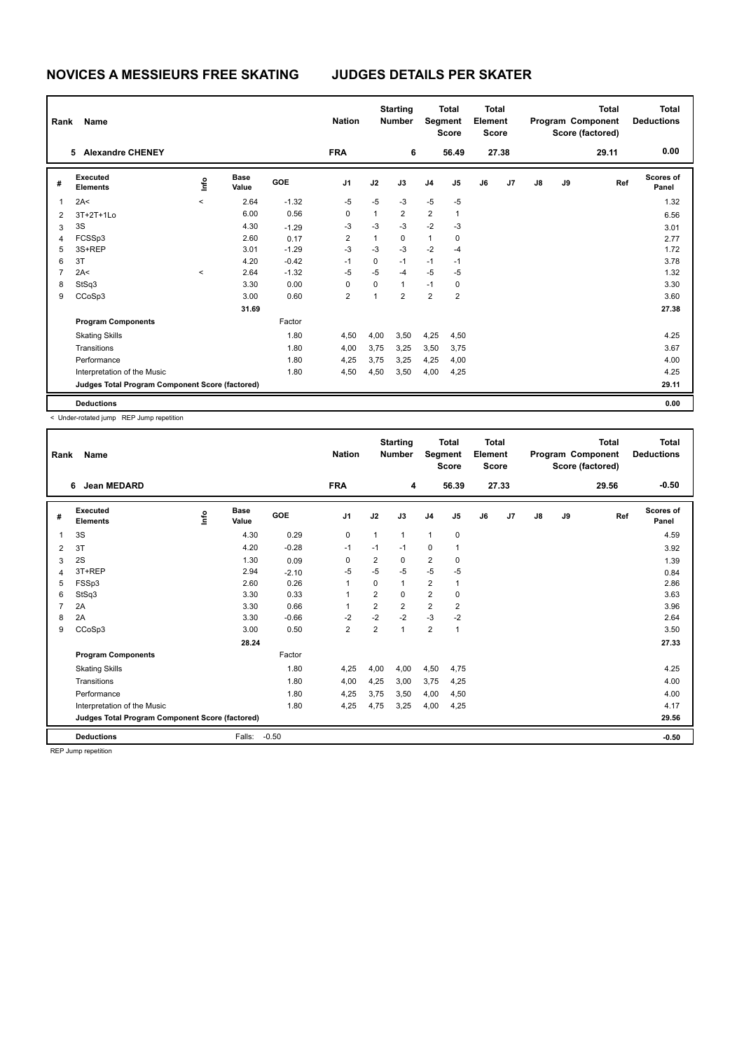| Rank | Name                                            |           |                      |         | <b>Nation</b>           | <b>Starting</b><br><b>Total</b><br><b>Number</b><br>Segment<br><b>Score</b> |                |                         | <b>Total</b><br>Element<br><b>Score</b> |    | Total<br>Program Component<br>Score (factored) |    |    | <b>Total</b><br><b>Deductions</b> |                           |
|------|-------------------------------------------------|-----------|----------------------|---------|-------------------------|-----------------------------------------------------------------------------|----------------|-------------------------|-----------------------------------------|----|------------------------------------------------|----|----|-----------------------------------|---------------------------|
|      | 5 Alexandre CHENEY                              |           |                      |         | <b>FRA</b>              |                                                                             | 6              |                         | 56.49                                   |    | 27.38                                          |    |    | 29.11                             | 0.00                      |
| #    | Executed<br><b>Elements</b>                     | ١nfo      | <b>Base</b><br>Value | GOE     | J <sub>1</sub>          | J2                                                                          | J3             | J <sub>4</sub>          | J5                                      | J6 | J7                                             | J8 | J9 | Ref                               | <b>Scores of</b><br>Panel |
| 1    | 2A<                                             | $\prec$   | 2.64                 | $-1.32$ | $-5$                    | $-5$                                                                        | $-3$           | $-5$                    | $-5$                                    |    |                                                |    |    |                                   | 1.32                      |
| 2    | 3T+2T+1Lo                                       |           | 6.00                 | 0.56    | 0                       | $\mathbf{1}$                                                                | $\overline{2}$ | $\overline{2}$          | 1                                       |    |                                                |    |    |                                   | 6.56                      |
| 3    | 3S                                              |           | 4.30                 | $-1.29$ | $-3$                    | $-3$                                                                        | $-3$           | $-2$                    | $-3$                                    |    |                                                |    |    |                                   | 3.01                      |
| 4    | FCSSp3                                          |           | 2.60                 | 0.17    | $\overline{2}$          | $\mathbf{1}$                                                                | $\mathbf 0$    | $\mathbf{1}$            | 0                                       |    |                                                |    |    |                                   | 2.77                      |
| 5    | 3S+REP                                          |           | 3.01                 | $-1.29$ | $-3$                    | $-3$                                                                        | $-3$           | $-2$                    | $-4$                                    |    |                                                |    |    |                                   | 1.72                      |
| 6    | 3T                                              |           | 4.20                 | $-0.42$ | $-1$                    | 0                                                                           | $-1$           | $-1$                    | $-1$                                    |    |                                                |    |    |                                   | 3.78                      |
| 7    | 2A<                                             | $\hat{~}$ | 2.64                 | $-1.32$ | $-5$                    | $-5$                                                                        | $-4$           | $-5$                    | $-5$                                    |    |                                                |    |    |                                   | 1.32                      |
| 8    | StSq3                                           |           | 3.30                 | 0.00    | 0                       | 0                                                                           | $\mathbf{1}$   | $-1$                    | 0                                       |    |                                                |    |    |                                   | 3.30                      |
| 9    | CCoSp3                                          |           | 3.00                 | 0.60    | $\overline{\mathbf{c}}$ | 1                                                                           | $\overline{2}$ | $\overline{\mathbf{c}}$ | 2                                       |    |                                                |    |    |                                   | 3.60                      |
|      |                                                 |           | 31.69                |         |                         |                                                                             |                |                         |                                         |    |                                                |    |    |                                   | 27.38                     |
|      | <b>Program Components</b>                       |           |                      | Factor  |                         |                                                                             |                |                         |                                         |    |                                                |    |    |                                   |                           |
|      | <b>Skating Skills</b>                           |           |                      | 1.80    | 4,50                    | 4,00                                                                        | 3,50           | 4,25                    | 4,50                                    |    |                                                |    |    |                                   | 4.25                      |
|      | Transitions                                     |           |                      | 1.80    | 4,00                    | 3,75                                                                        | 3,25           | 3,50                    | 3,75                                    |    |                                                |    |    |                                   | 3.67                      |
|      | Performance                                     |           |                      | 1.80    | 4,25                    | 3,75                                                                        | 3,25           | 4,25                    | 4,00                                    |    |                                                |    |    |                                   | 4.00                      |
|      | Interpretation of the Music                     |           |                      | 1.80    | 4,50                    | 4,50                                                                        | 3,50           | 4,00                    | 4,25                                    |    |                                                |    |    |                                   | 4.25                      |
|      | Judges Total Program Component Score (factored) |           |                      |         |                         |                                                                             |                |                         |                                         |    |                                                |    |    |                                   | 29.11                     |
|      | <b>Deductions</b>                               |           |                      |         |                         |                                                                             |                |                         |                                         |    |                                                |    |    |                                   | 0.00                      |

< Under-rotated jump REP Jump repetition

| Rank | <b>Name</b>                                     |      |                      |         | <b>Nation</b>  |                | <b>Starting</b><br><b>Number</b> | Segment        | <b>Total</b><br><b>Score</b> | <b>Total</b><br>Element<br><b>Score</b> |       |    |    | <b>Total</b><br>Program Component<br>Score (factored) | <b>Total</b><br><b>Deductions</b> |
|------|-------------------------------------------------|------|----------------------|---------|----------------|----------------|----------------------------------|----------------|------------------------------|-----------------------------------------|-------|----|----|-------------------------------------------------------|-----------------------------------|
|      | <b>Jean MEDARD</b><br>6                         |      |                      |         | <b>FRA</b>     |                | 4                                |                | 56.39                        |                                         | 27.33 |    |    | 29.56                                                 | $-0.50$                           |
| #    | Executed<br><b>Elements</b>                     | lnfo | <b>Base</b><br>Value | GOE     | J <sub>1</sub> | J2             | J3                               | J <sub>4</sub> | J5                           | J6                                      | J7    | J8 | J9 | Ref                                                   | <b>Scores of</b><br>Panel         |
| 1    | 3S                                              |      | 4.30                 | 0.29    | 0              | $\mathbf{1}$   | $\mathbf{1}$                     | $\mathbf{1}$   | 0                            |                                         |       |    |    |                                                       | 4.59                              |
| 2    | 3T                                              |      | 4.20                 | $-0.28$ | $-1$           | $-1$           | $-1$                             | 0              | 1                            |                                         |       |    |    |                                                       | 3.92                              |
| 3    | 2S                                              |      | 1.30                 | 0.09    | 0              | 2              | 0                                | $\overline{2}$ | 0                            |                                         |       |    |    |                                                       | 1.39                              |
| 4    | 3T+REP                                          |      | 2.94                 | $-2.10$ | -5             | $-5$           | $-5$                             | $-5$           | $-5$                         |                                         |       |    |    |                                                       | 0.84                              |
| 5    | FSSp3                                           |      | 2.60                 | 0.26    | $\mathbf{1}$   | $\Omega$       | $\mathbf{1}$                     | $\overline{2}$ | 1                            |                                         |       |    |    |                                                       | 2.86                              |
| 6    | StSq3                                           |      | 3.30                 | 0.33    | $\mathbf{1}$   | 2              | 0                                | $\overline{2}$ | 0                            |                                         |       |    |    |                                                       | 3.63                              |
| 7    | 2A                                              |      | 3.30                 | 0.66    | 1              | $\overline{2}$ | $\overline{2}$                   | $\overline{2}$ | $\overline{2}$               |                                         |       |    |    |                                                       | 3.96                              |
| 8    | 2A                                              |      | 3.30                 | $-0.66$ | $-2$           | $-2$           | $-2$                             | $-3$           | $-2$                         |                                         |       |    |    |                                                       | 2.64                              |
| 9    | CCoSp3                                          |      | 3.00                 | 0.50    | $\overline{2}$ | $\overline{2}$ | 1                                | $\overline{2}$ | 1                            |                                         |       |    |    |                                                       | 3.50                              |
|      |                                                 |      | 28.24                |         |                |                |                                  |                |                              |                                         |       |    |    |                                                       | 27.33                             |
|      | <b>Program Components</b>                       |      |                      | Factor  |                |                |                                  |                |                              |                                         |       |    |    |                                                       |                                   |
|      | <b>Skating Skills</b>                           |      |                      | 1.80    | 4,25           | 4,00           | 4,00                             | 4,50           | 4,75                         |                                         |       |    |    |                                                       | 4.25                              |
|      | Transitions                                     |      |                      | 1.80    | 4,00           | 4,25           | 3.00                             | 3,75           | 4,25                         |                                         |       |    |    |                                                       | 4.00                              |
|      | Performance                                     |      |                      | 1.80    | 4,25           | 3,75           | 3,50                             | 4,00           | 4,50                         |                                         |       |    |    |                                                       | 4.00                              |
|      | Interpretation of the Music                     |      |                      | 1.80    | 4,25           | 4,75           | 3.25                             | 4,00           | 4,25                         |                                         |       |    |    |                                                       | 4.17                              |
|      | Judges Total Program Component Score (factored) |      |                      |         |                |                |                                  |                |                              |                                         |       |    |    |                                                       | 29.56                             |
|      | <b>Deductions</b>                               |      | Falls:               | $-0.50$ |                |                |                                  |                |                              |                                         |       |    |    |                                                       | $-0.50$                           |

REP Jump repetition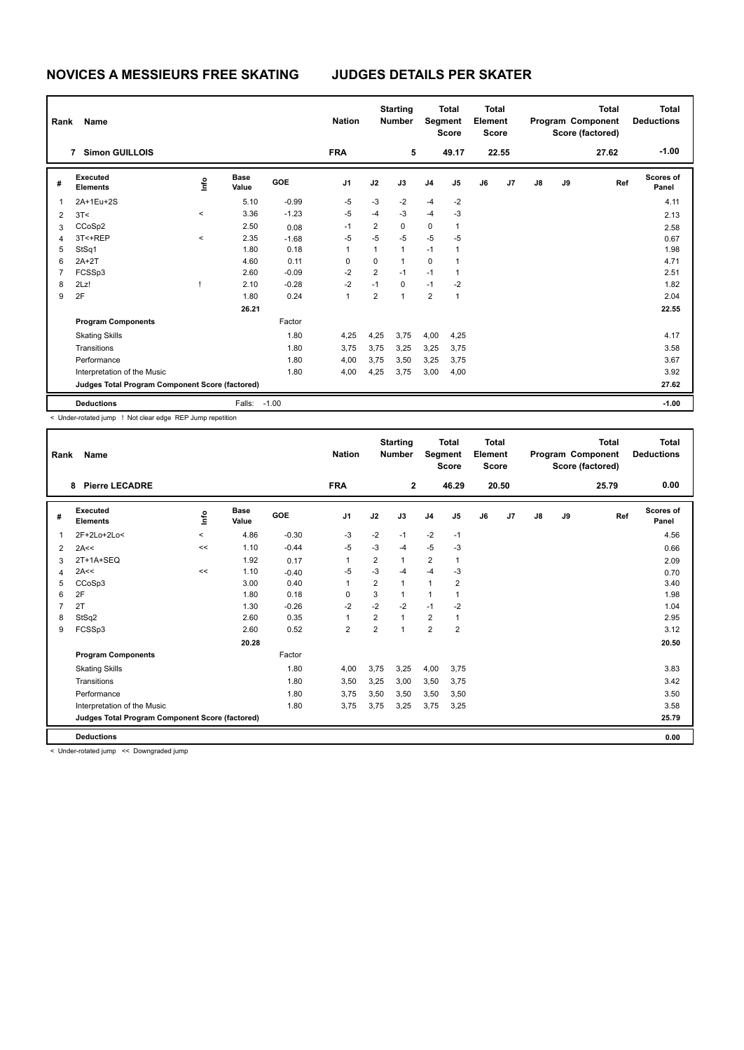| Rank           | Name                                            |           |                      |         | <b>Nation</b>  |                | <b>Starting</b><br><b>Number</b> |                | <b>Total</b><br>Segment<br><b>Score</b> | <b>Total</b><br>Element<br><b>Score</b> |       |               |    | Total<br>Program Component<br>Score (factored) | <b>Total</b><br><b>Deductions</b> |
|----------------|-------------------------------------------------|-----------|----------------------|---------|----------------|----------------|----------------------------------|----------------|-----------------------------------------|-----------------------------------------|-------|---------------|----|------------------------------------------------|-----------------------------------|
|                | <b>Simon GUILLOIS</b><br>$\overline{7}$         |           |                      |         | <b>FRA</b>     |                | 5                                |                | 49.17                                   |                                         | 22.55 |               |    | 27.62                                          | $-1.00$                           |
| #              | Executed<br><b>Elements</b>                     | ۴         | <b>Base</b><br>Value | GOE     | J <sub>1</sub> | J2             | J3                               | J <sub>4</sub> | J5                                      | J6                                      | J7    | $\mathsf{J}8$ | J9 | Ref                                            | <b>Scores of</b><br>Panel         |
| 1              | 2A+1Eu+2S                                       |           | 5.10                 | $-0.99$ | $-5$           | $-3$           | $-2$                             | $-4$           | $-2$                                    |                                         |       |               |    |                                                | 4.11                              |
| 2              | 3T<                                             | $\hat{~}$ | 3.36                 | $-1.23$ | $-5$           | $-4$           | $-3$                             | $-4$           | $-3$                                    |                                         |       |               |    |                                                | 2.13                              |
| 3              | CCoSp2                                          |           | 2.50                 | 0.08    | $-1$           | $\overline{2}$ | 0                                | 0              | 1                                       |                                         |       |               |    |                                                | 2.58                              |
| $\overline{4}$ | 3T<+REP                                         | $\hat{~}$ | 2.35                 | $-1.68$ | $-5$           | $-5$           | $-5$                             | $-5$           | -5                                      |                                         |       |               |    |                                                | 0.67                              |
| 5              | StSq1                                           |           | 1.80                 | 0.18    | 1              | $\mathbf{1}$   | $\overline{1}$                   | $-1$           | 1                                       |                                         |       |               |    |                                                | 1.98                              |
| 6              | $2A+2T$                                         |           | 4.60                 | 0.11    | 0              | 0              | $\mathbf{1}$                     | $\mathbf 0$    | 1                                       |                                         |       |               |    |                                                | 4.71                              |
| $\overline{7}$ | FCSSp3                                          |           | 2.60                 | $-0.09$ | $-2$           | 2              | $-1$                             | $-1$           | 1                                       |                                         |       |               |    |                                                | 2.51                              |
| 8              | 2Lz!                                            |           | 2.10                 | $-0.28$ | $-2$           | $-1$           | $\Omega$                         | $-1$           | $-2$                                    |                                         |       |               |    |                                                | 1.82                              |
| 9              | 2F                                              |           | 1.80                 | 0.24    | 1              | $\overline{2}$ | $\overline{1}$                   | $\overline{2}$ | 1                                       |                                         |       |               |    |                                                | 2.04                              |
|                |                                                 |           | 26.21                |         |                |                |                                  |                |                                         |                                         |       |               |    |                                                | 22.55                             |
|                | <b>Program Components</b>                       |           |                      | Factor  |                |                |                                  |                |                                         |                                         |       |               |    |                                                |                                   |
|                | <b>Skating Skills</b>                           |           |                      | 1.80    | 4,25           | 4,25           | 3,75                             | 4,00           | 4,25                                    |                                         |       |               |    |                                                | 4.17                              |
|                | Transitions                                     |           |                      | 1.80    | 3,75           | 3,75           | 3,25                             | 3,25           | 3,75                                    |                                         |       |               |    |                                                | 3.58                              |
|                | Performance                                     |           |                      | 1.80    | 4,00           | 3,75           | 3,50                             | 3,25           | 3,75                                    |                                         |       |               |    |                                                | 3.67                              |
|                | Interpretation of the Music                     |           |                      | 1.80    | 4,00           | 4,25           | 3,75                             | 3,00           | 4,00                                    |                                         |       |               |    |                                                | 3.92                              |
|                | Judges Total Program Component Score (factored) |           |                      |         |                |                |                                  |                |                                         |                                         |       |               |    |                                                | 27.62                             |
|                | <b>Deductions</b>                               |           | Falls: -1.00         |         |                |                |                                  |                |                                         |                                         |       |               |    |                                                | $-1.00$                           |

< Under-rotated jump ! Not clear edge REP Jump repetition

| Rank | <b>Name</b>                                     |         |                      |         | <b>Nation</b>  |                | <b>Starting</b><br><b>Number</b> | Segment                 | <b>Total</b><br><b>Score</b> | Total<br>Element<br><b>Score</b> |       |               |    | <b>Total</b><br>Program Component<br>Score (factored) | Total<br><b>Deductions</b> |
|------|-------------------------------------------------|---------|----------------------|---------|----------------|----------------|----------------------------------|-------------------------|------------------------------|----------------------------------|-------|---------------|----|-------------------------------------------------------|----------------------------|
|      | <b>Pierre LECADRE</b><br>8                      |         |                      |         | <b>FRA</b>     |                | $\mathbf{2}$                     |                         | 46.29                        |                                  | 20.50 |               |    | 25.79                                                 | 0.00                       |
| #    | Executed<br><b>Elements</b>                     | ۴۵      | <b>Base</b><br>Value | GOE     | J <sub>1</sub> | J2             | J3                               | J <sub>4</sub>          | J <sub>5</sub>               | J6                               | J7    | $\mathsf{J}8$ | J9 | Ref                                                   | <b>Scores of</b><br>Panel  |
| 1    | 2F+2Lo+2Lo<                                     | $\prec$ | 4.86                 | $-0.30$ | $-3$           | $-2$           | $-1$                             | $-2$                    | $-1$                         |                                  |       |               |    |                                                       | 4.56                       |
| 2    | 2A<<                                            | <<      | 1.10                 | $-0.44$ | $-5$           | $-3$           | -4                               | $-5$                    | $-3$                         |                                  |       |               |    |                                                       | 0.66                       |
| 3    | 2T+1A+SEQ                                       |         | 1.92                 | 0.17    | 1              | 2              |                                  | $\overline{\mathbf{c}}$ | 1                            |                                  |       |               |    |                                                       | 2.09                       |
| 4    | 2A<<                                            | <<      | 1.10                 | $-0.40$ | $-5$           | $-3$           | $-4$                             | $-4$                    | $-3$                         |                                  |       |               |    |                                                       | 0.70                       |
| 5    | CCoSp3                                          |         | 3.00                 | 0.40    | 1              | $\overline{2}$ | $\mathbf{1}$                     | $\mathbf{1}$            | $\overline{2}$               |                                  |       |               |    |                                                       | 3.40                       |
| 6    | 2F                                              |         | 1.80                 | 0.18    | 0              | 3              |                                  | $\mathbf{1}$            | 1                            |                                  |       |               |    |                                                       | 1.98                       |
|      | 2T                                              |         | 1.30                 | $-0.26$ | $-2$           | $-2$           | $-2$                             | $-1$                    | $-2$                         |                                  |       |               |    |                                                       | 1.04                       |
| 8    | StSq2                                           |         | 2.60                 | 0.35    | 1              | $\overline{2}$ |                                  | $\overline{\mathbf{c}}$ | 1                            |                                  |       |               |    |                                                       | 2.95                       |
| 9    | FCSSp3                                          |         | 2.60                 | 0.52    | $\overline{2}$ | $\overline{2}$ |                                  | $\overline{2}$          | $\overline{2}$               |                                  |       |               |    |                                                       | 3.12                       |
|      |                                                 |         | 20.28                |         |                |                |                                  |                         |                              |                                  |       |               |    |                                                       | 20.50                      |
|      | <b>Program Components</b>                       |         |                      | Factor  |                |                |                                  |                         |                              |                                  |       |               |    |                                                       |                            |
|      | <b>Skating Skills</b>                           |         |                      | 1.80    | 4,00           | 3,75           | 3,25                             | 4,00                    | 3,75                         |                                  |       |               |    |                                                       | 3.83                       |
|      | Transitions                                     |         |                      | 1.80    | 3,50           | 3,25           | 3,00                             | 3,50                    | 3,75                         |                                  |       |               |    |                                                       | 3.42                       |
|      | Performance                                     |         |                      | 1.80    | 3,75           | 3,50           | 3,50                             | 3,50                    | 3,50                         |                                  |       |               |    |                                                       | 3.50                       |
|      | Interpretation of the Music                     |         |                      | 1.80    | 3,75           | 3,75           | 3,25                             | 3,75                    | 3,25                         |                                  |       |               |    |                                                       | 3.58                       |
|      | Judges Total Program Component Score (factored) |         |                      |         |                |                |                                  |                         |                              |                                  |       |               |    |                                                       | 25.79                      |
|      | <b>Deductions</b>                               |         |                      |         |                |                |                                  |                         |                              |                                  |       |               |    |                                                       | 0.00                       |

< Under-rotated jump << Downgraded jump